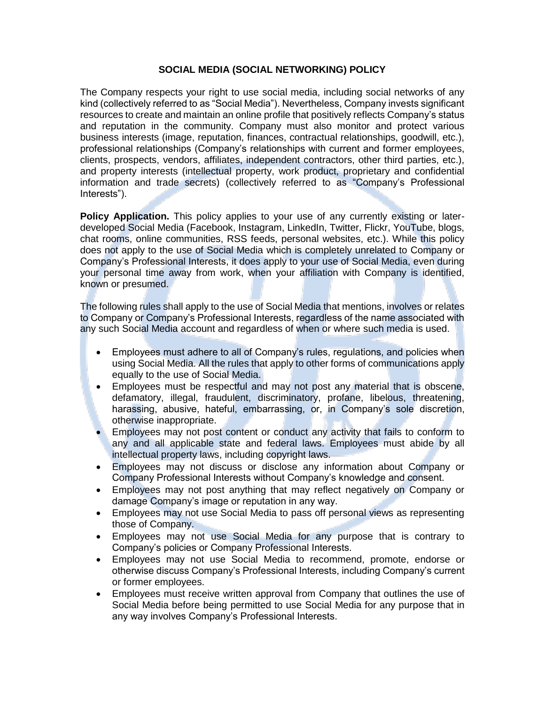## **SOCIAL MEDIA (SOCIAL NETWORKING) POLICY**

The Company respects your right to use social media, including social networks of any kind (collectively referred to as "Social Media"). Nevertheless, Company invests significant resources to create and maintain an online profile that positively reflects Company's status and reputation in the community. Company must also monitor and protect various business interests (image, reputation, finances, contractual relationships, goodwill, etc.), professional relationships (Company's relationships with current and former employees, clients, prospects, vendors, affiliates, independent contractors, other third parties, etc.), and property interests (intellectual property, work product, proprietary and confidential information and trade secrets) (collectively referred to as "Company's Professional Interests").

**Policy Application.** This policy applies to your use of any currently existing or laterdeveloped Social Media (Facebook, Instagram, LinkedIn, Twitter, Flickr, YouTube, blogs, chat rooms, online communities, RSS feeds, personal websites, etc.). While this policy does not apply to the use of Social Media which is completely unrelated to Company or Company's Professional Interests, it does apply to your use of Social Media, even during your personal time away from work, when your affiliation with Company is identified, known or presumed.

The following rules shall apply to the use of Social Media that mentions, involves or relates to Company or Company's Professional Interests, regardless of the name associated with any such Social Media account and regardless of when or where such media is used.

- Employees must adhere to all of Company's rules, regulations, and policies when using Social Media. All the rules that apply to other forms of communications apply equally to the use of Social Media.
- Employees must be respectful and may not post any material that is obscene, defamatory, illegal, fraudulent, discriminatory, profane, libelous, threatening, harassing, abusive, hateful, embarrassing, or, in Company's sole discretion, otherwise inappropriate.
- Employees may not post content or conduct any activity that fails to conform to any and all applicable state and federal laws. Employees must abide by all intellectual property laws, including copyright laws.
- Employees may not discuss or disclose any information about Company or Company Professional Interests without Company's knowledge and consent.
- Employees may not post anything that may reflect negatively on Company or damage Company's image or reputation in any way.
- Employees may not use Social Media to pass off personal views as representing those of Company.
- Employees may not use Social Media for any purpose that is contrary to Company's policies or Company Professional Interests.
- Employees may not use Social Media to recommend, promote, endorse or otherwise discuss Company's Professional Interests, including Company's current or former employees.
- Employees must receive written approval from Company that outlines the use of Social Media before being permitted to use Social Media for any purpose that in any way involves Company's Professional Interests.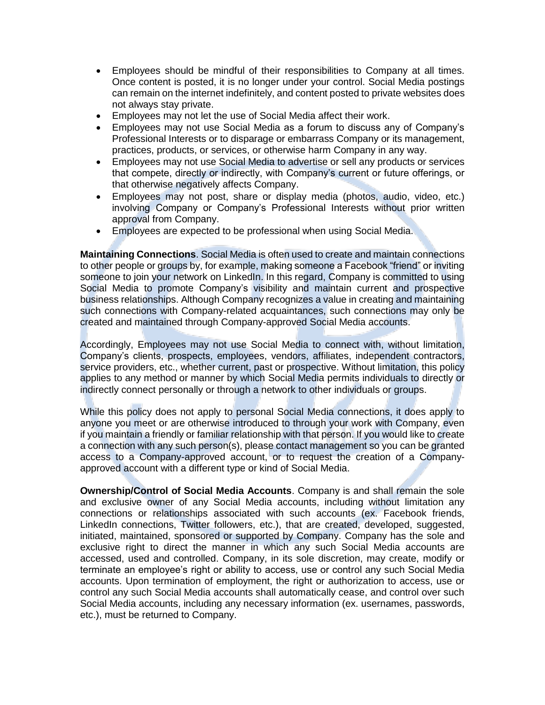- Employees should be mindful of their responsibilities to Company at all times. Once content is posted, it is no longer under your control. Social Media postings can remain on the internet indefinitely, and content posted to private websites does not always stay private.
- Employees may not let the use of Social Media affect their work.
- Employees may not use Social Media as a forum to discuss any of Company's Professional Interests or to disparage or embarrass Company or its management, practices, products, or services, or otherwise harm Company in any way.
- Employees may not use Social Media to advertise or sell any products or services that compete, directly or indirectly, with Company's current or future offerings, or that otherwise negatively affects Company.
- Employees may not post, share or display media (photos, audio, video, etc.) involving Company or Company's Professional Interests without prior written approval from Company.
- Employees are expected to be professional when using Social Media.

**Maintaining Connections**. Social Media is often used to create and maintain connections to other people or groups by, for example, making someone a Facebook "friend" or inviting someone to join your network on LinkedIn. In this regard, Company is committed to using Social Media to promote Company's visibility and maintain current and prospective business relationships. Although Company recognizes a value in creating and maintaining such connections with Company-related acquaintances, such connections may only be created and maintained through Company-approved Social Media accounts.

Accordingly, Employees may not use Social Media to connect with, without limitation, Company's clients, prospects, employees, vendors, affiliates, independent contractors, service providers, etc., whether current, past or prospective. Without limitation, this policy applies to any method or manner by which Social Media permits individuals to directly or indirectly connect personally or through a network to other individuals or groups.

While this policy does not apply to personal Social Media connections, it does apply to anyone you meet or are otherwise introduced to through your work with Company, even if you maintain a friendly or familiar relationship with that person. If you would like to create a connection with any such person(s), please contact management so you can be granted access to a Company-approved account, or to request the creation of a Companyapproved account with a different type or kind of Social Media.

**Ownership/Control of Social Media Accounts**. Company is and shall remain the sole and exclusive owner of any Social Media accounts, including without limitation any connections or relationships associated with such accounts (ex. Facebook friends, LinkedIn connections, Twitter followers, etc.), that are created, developed, suggested, initiated, maintained, sponsored or supported by Company. Company has the sole and exclusive right to direct the manner in which any such Social Media accounts are accessed, used and controlled. Company, in its sole discretion, may create, modify or terminate an employee's right or ability to access, use or control any such Social Media accounts. Upon termination of employment, the right or authorization to access, use or control any such Social Media accounts shall automatically cease, and control over such Social Media accounts, including any necessary information (ex. usernames, passwords, etc.), must be returned to Company.